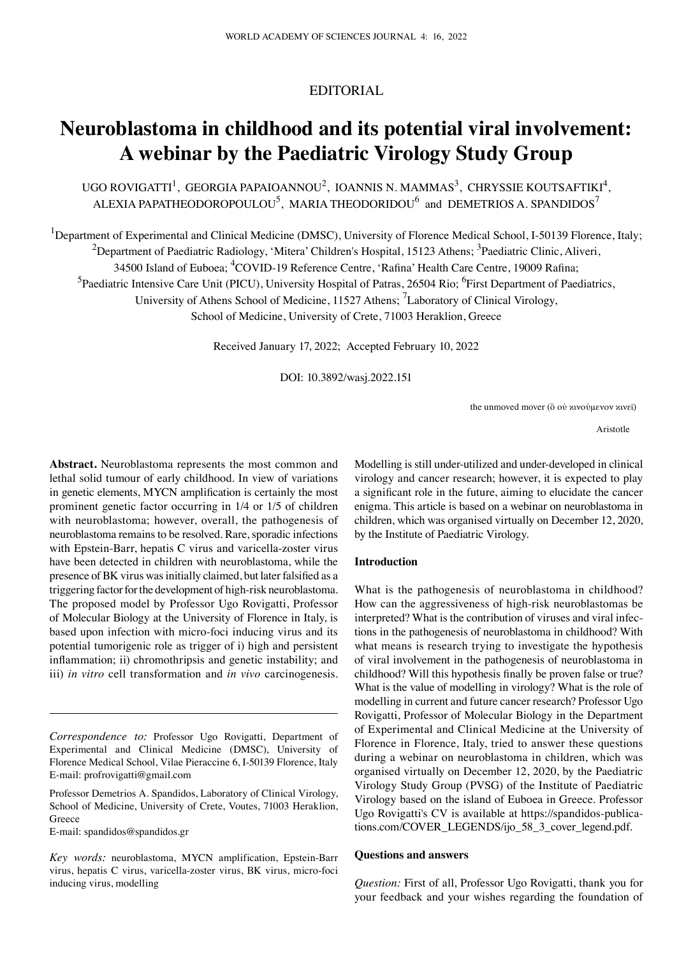# EDITORIAL

# **Neuroblastoma in childhood and its potential viral involvement: A webinar by the Paediatric Virology Study Group**

UGO ROVIGATTI<sup>1</sup>, GEORGIA PAPAIOANNOU<sup>2</sup>, IOANNIS N. MAMMAS<sup>3</sup>, CHRYSSIE KOUTSAFTIKI<sup>4</sup>, ALEXIA PAPATHEODOROPOULOU<sup>5</sup>, MARIA THEODORIDOU<sup>6</sup> and DEMETRIOS A. SPANDIDOS<sup>7</sup>

<sup>1</sup>Department of Experimental and Clinical Medicine (DMSC), University of Florence Medical School, I-50139 Florence, Italy;

 $^2$ Department of Paediatric Radiology, 'Mitera' Children's Hospital, 15123 Athens;  $^3$ Paediatric Clinic, Aliveri,

34500 Island of Euboea; <sup>4</sup>COVID-19 Reference Centre, 'Rafina' Health Care Centre, 19009 Rafina;

<sup>5</sup>Paediatric Intensive Care Unit (PICU), University Hospital of Patras, 26504 Rio; <sup>6</sup>First Department of Paediatrics,

University of Athens School of Medicine, 11527 Athens; <sup>7</sup>Laboratory of Clinical Virology,

School of Medicine, University of Crete, 71003 Heraklion, Greece

Received January 17, 2022; Accepted February 10, 2022

DOI: 10.3892/wasj.2022.151

the unmoved mover (ὃ οὐ κινούμενον κινεῖ)

Aristotle

**Abstract.** Neuroblastoma represents the most common and lethal solid tumour of early childhood. In view of variations in genetic elements, MYCN amplification is certainly the most prominent genetic factor occurring in 1/4 or 1/5 of children with neuroblastoma; however, overall, the pathogenesis of neuroblastoma remains to be resolved. Rare, sporadic infections with Epstein-Barr, hepatis C virus and varicella-zoster virus have been detected in children with neuroblastoma, while the presence of BK virus was initially claimed, but later falsified as a triggering factor for the development of high-risk neuroblastoma. The proposed model by Professor Ugo Rovigatti, Professor of Molecular Biology at the University of Florence in Italy, is based upon infection with micro-foci inducing virus and its potential tumorigenic role as trigger of i) high and persistent inflammation; ii) chromothripsis and genetic instability; and iii) *in vitro* cell transformation and *in vivo* carcinogenesis.

E‑mail: spandidos@spandidos.gr

Modelling is still under‑utilized and under-developed in clinical virology and cancer research; however, it is expected to play a significant role in the future, aiming to elucidate the cancer enigma. This article is based on a webinar on neuroblastoma in children, which was organised virtually on December 12, 2020, by the Institute of Paediatric Virology.

## **Introduction**

What is the pathogenesis of neuroblastoma in childhood? How can the aggressiveness of high-risk neuroblastomas be interpreted? What is the contribution of viruses and viral infections in the pathogenesis of neuroblastoma in childhood? With what means is research trying to investigate the hypothesis of viral involvement in the pathogenesis of neuroblastoma in childhood? Will this hypothesis finally be proven false or true? What is the value of modelling in virology? What is the role of modelling in current and future cancer research? Professor Ugo Rovigatti, Professor of Molecular Biology in the Department of Experimental and Clinical Medicine at the University of Florence in Florence, Italy, tried to answer these questions during a webinar on neuroblastoma in children, which was organised virtually on December 12, 2020, by the Paediatric Virology Study Group (PVSG) of the Institute of Paediatric Virology based on the island of Euboea in Greece. Professor Ugo Rovigatti's CV is available at https://spandidos-publications.com/COVER\_LEGENDS/ijo\_58\_3\_cover\_legend.pdf.

#### **Questions and answers**

*Question:* First of all, Professor Ugo Rovigatti, thank you for your feedback and your wishes regarding the foundation of

*Correspondence to:* Professor Ugo Rovigatti, Department of Experimental and Clinical Medicine (DMSC), University of Florence Medical School, Vilae Pieraccine 6, I‑50139 Florence, Italy E‑mail: profrovigatti@gmail.com

Professor Demetrios A. Spandidos, Laboratory of Clinical Virology, School of Medicine, University of Crete, Voutes, 71003 Heraklion, Greece

*Key words:* neuroblastoma, MYCN amplification, Epstein‑Barr virus, hepatis C virus, varicella-zoster virus, BK virus, micro-foci inducing virus, modelling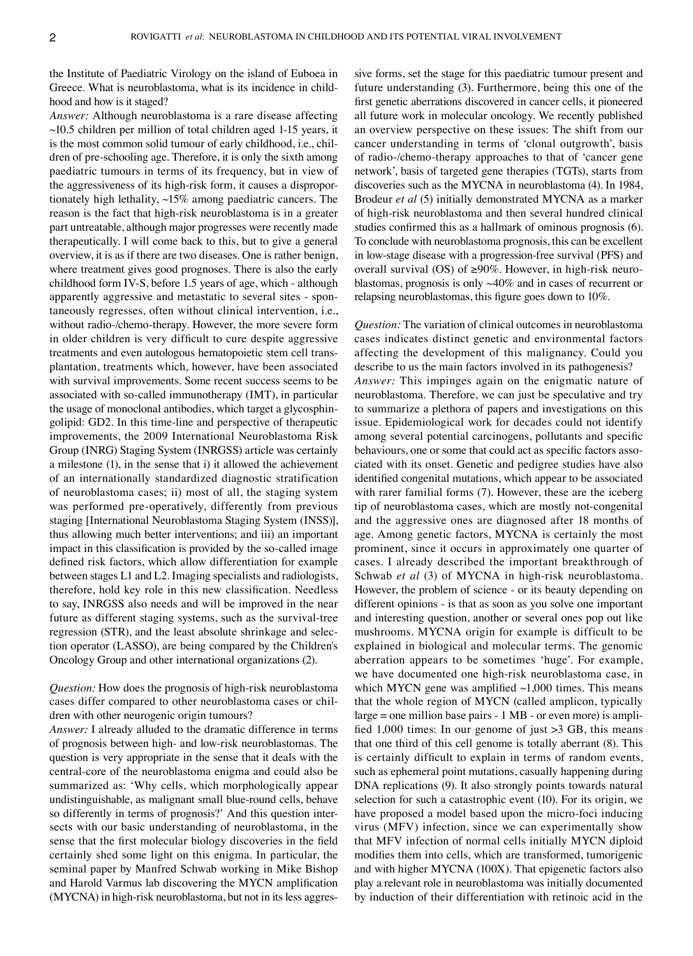the Institute of Paediatric Virology on the island of Euboea in Greece. What is neuroblastoma, what is its incidence in childhood and how is it staged?

*Answer:* Although neuroblastoma is a rare disease affecting  $\sim$ 10.5 children per million of total children aged 1-15 years, it is the most common solid tumour of early childhood, i.e., children of pre‑schooling age. Therefore, it is only the sixth among paediatric tumours in terms of its frequency, but in view of the aggressiveness of its high-risk form, it causes a disproportionately high lethality,  $\sim$ 15% among paediatric cancers. The reason is the fact that high-risk neuroblastoma is in a greater part untreatable, although major progresses were recently made therapeutically. I will come back to this, but to give a general overview, it is as if there are two diseases. One is rather benign, where treatment gives good prognoses. There is also the early childhood form IV-S, before 1.5 years of age, which - although apparently aggressive and metastatic to several sites - spontaneously regresses, often without clinical intervention, i.e., without radio-/chemo-therapy. However, the more severe form in older children is very difficult to cure despite aggressive treatments and even autologous hematopoietic stem cell trans‑ plantation, treatments which, however, have been associated with survival improvements. Some recent success seems to be associated with so-called immunotherapy (IMT), in particular the usage of monoclonal antibodies, which target a glycosphingolipid: GD2. In this time-line and perspective of therapeutic improvements, the 2009 International Neuroblastoma Risk Group (INRG) Staging System (INRGSS) article was certainly a milestone (1), in the sense that i) it allowed the achievement of an internationally standardized diagnostic stratification of neuroblastoma cases; ii) most of all, the staging system was performed pre-operatively, differently from previous staging [International Neuroblastoma Staging System (INSS)], thus allowing much better interventions; and iii) an important impact in this classification is provided by the so-called image defined risk factors, which allow differentiation for example between stages L1 and L2. Imaging specialists and radiologists, therefore, hold key role in this new classification. Needless to say, INRGSS also needs and will be improved in the near future as different staging systems, such as the survival-tree regression (STR), and the least absolute shrinkage and selection operator (LASSO), are being compared by the Children's Oncology Group and other international organizations (2).

*Question:* How does the prognosis of high-risk neuroblastoma cases differ compared to other neuroblastoma cases or chil‑ dren with other neurogenic origin tumours?

*Answer:* I already alluded to the dramatic difference in terms of prognosis between high‑ and low‑risk neuroblastomas. The question is very appropriate in the sense that it deals with the central‑core of the neuroblastoma enigma and could also be summarized as: 'Why cells, which morphologically appear undistinguishable, as malignant small blue‑round cells, behave so differently in terms of prognosis?' And this question intersects with our basic understanding of neuroblastoma, in the sense that the first molecular biology discoveries in the field certainly shed some light on this enigma. In particular, the seminal paper by Manfred Schwab working in Mike Bishop and Harold Varmus lab discovering the MYCN amplification (MYCNA) in high-risk neuroblastoma, but not in its less aggressive forms, set the stage for this paediatric tumour present and future understanding (3). Furthermore, being this one of the first genetic aberrations discovered in cancer cells, it pioneered all future work in molecular oncology. We recently published an overview perspective on these issues: The shift from our cancer understanding in terms of 'clonal outgrowth', basis of radio‑/chemo‑therapy approaches to that of 'cancer gene network', basis of targeted gene therapies (TGTs), starts from discoveries such as the MYCNA in neuroblastoma (4). In 1984, Brodeur *et al* (5) initially demonstrated MYCNA as a marker of high-risk neuroblastoma and then several hundred clinical studies confirmed this as a hallmark of ominous prognosis (6). To conclude with neuroblastoma prognosis, this can be excellent in low-stage disease with a progression-free survival (PFS) and overall survival (OS) of  $\geq 90\%$ . However, in high-risk neuroblastomas, prognosis is only ~40% and in cases of recurrent or relapsing neuroblastomas, this figure goes down to 10%.

*Question:* The variation of clinical outcomes in neuroblastoma cases indicates distinct genetic and environmental factors affecting the development of this malignancy. Could you describe to us the main factors involved in its pathogenesis? *Answer:* This impinges again on the enigmatic nature of neuroblastoma. Therefore, we can just be speculative and try to summarize a plethora of papers and investigations on this issue. Epidemiological work for decades could not identify among several potential carcinogens, pollutants and specific behaviours, one or some that could act as specific factors associated with its onset. Genetic and pedigree studies have also identified congenital mutations, which appear to be associated with rarer familial forms (7). However, these are the iceberg tip of neuroblastoma cases, which are mostly not-congenital and the aggressive ones are diagnosed after 18 months of age. Among genetic factors, MYCNA is certainly the most prominent, since it occurs in approximately one quarter of cases. I already described the important breakthrough of Schwab *et al* (3) of MYCNA in high-risk neuroblastoma. However, the problem of science ‑ or its beauty depending on different opinions ‑ is that as soon as you solve one important and interesting question, another or several ones pop out like mushrooms. MYCNA origin for example is difficult to be explained in biological and molecular terms. The genomic aberration appears to be sometimes 'huge'. For example, we have documented one high-risk neuroblastoma case, in which MYCN gene was amplified  $~1,000$  times. This means that the whole region of MYCN (called amplicon, typically  $large = one million base pairs - 1 MB - or even more) is ampli$ fied 1,000 times: In our genome of just  $>3$  GB, this means that one third of this cell genome is totally aberrant (8). This is certainly difficult to explain in terms of random events, such as ephemeral point mutations, casually happening during DNA replications (9). It also strongly points towards natural selection for such a catastrophic event (10). For its origin, we have proposed a model based upon the micro-foci inducing virus (MFV) infection, since we can experimentally show that MFV infection of normal cells initially MYCN diploid modifies them into cells, which are transformed, tumorigenic and with higher MYCNA (100X). That epigenetic factors also play a relevant role in neuroblastoma was initially documented by induction of their differentiation with retinoic acid in the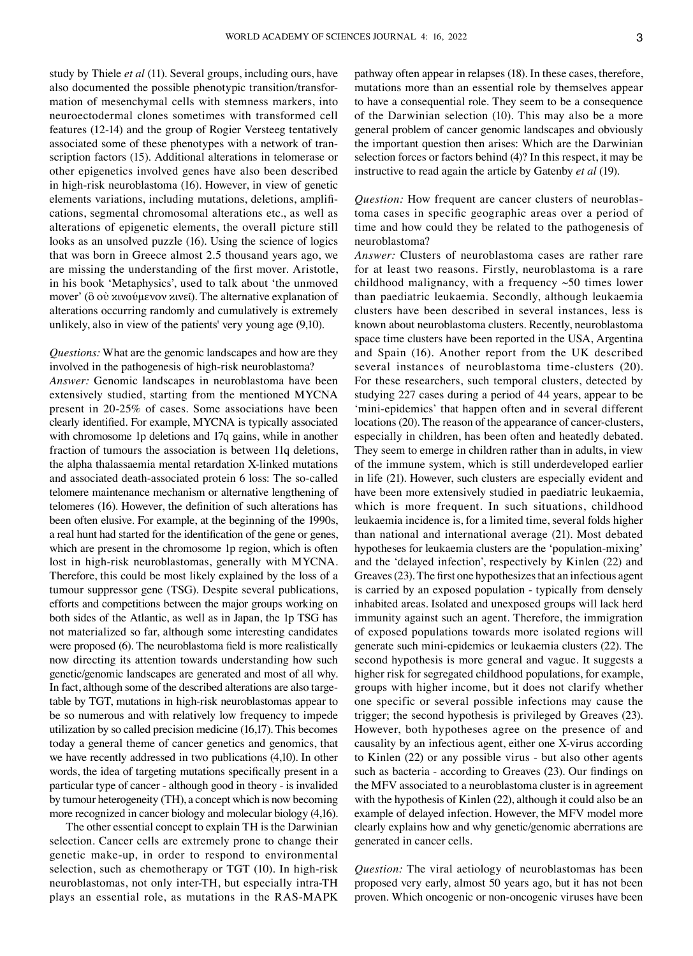study by Thiele *et al* (11). Several groups, including ours, have also documented the possible phenotypic transition/transformation of mesenchymal cells with stemness markers, into neuroectodermal clones sometimes with transformed cell features (12‑14) and the group of Rogier Versteeg tentatively associated some of these phenotypes with a network of transcription factors (15). Additional alterations in telomerase or other epigenetics involved genes have also been described in high-risk neuroblastoma (16). However, in view of genetic elements variations, including mutations, deletions, amplifications, segmental chromosomal alterations etc., as well as alterations of epigenetic elements, the overall picture still looks as an unsolved puzzle (16). Using the science of logics that was born in Greece almost 2.5 thousand years ago, we are missing the understanding of the first mover. Aristotle, in his book 'Metaphysics', used to talk about 'the unmoved mover' (ὃ οὐ κινούμενον κινεῖ). The alternative explanation of alterations occurring randomly and cumulatively is extremely unlikely, also in view of the patients' very young age (9,10).

*Questions:* What are the genomic landscapes and how are they involved in the pathogenesis of high-risk neuroblastoma? *Answer:* Genomic landscapes in neuroblastoma have been extensively studied, starting from the mentioned MYCNA present in 20‑25% of cases. Some associations have been clearly identified. For example, MYCNA is typically associated with chromosome 1p deletions and 17q gains, while in another fraction of tumours the association is between 11q deletions, the alpha thalassaemia mental retardation X‑linked mutations and associated death-associated protein 6 loss: The so-called telomere maintenance mechanism or alternative lengthening of telomeres (16). However, the definition of such alterations has been often elusive. For example, at the beginning of the 1990s, a real hunt had started for the identification of the gene or genes, which are present in the chromosome 1p region, which is often lost in high-risk neuroblastomas, generally with MYCNA. Therefore, this could be most likely explained by the loss of a tumour suppressor gene (TSG). Despite several publications, efforts and competitions between the major groups working on both sides of the Atlantic, as well as in Japan, the 1p TSG has not materialized so far, although some interesting candidates were proposed (6). The neuroblastoma field is more realistically now directing its attention towards understanding how such genetic/genomic landscapes are generated and most of all why. In fact, although some of the described alterations are also targetable by TGT, mutations in high-risk neuroblastomas appear to be so numerous and with relatively low frequency to impede utilization by so called precision medicine (16,17). This becomes today a general theme of cancer genetics and genomics, that we have recently addressed in two publications (4,10). In other words, the idea of targeting mutations specifically present in a particular type of cancer ‑ although good in theory ‑ is invalided by tumour heterogeneity (TH), a concept which is now becoming more recognized in cancer biology and molecular biology (4,16).

The other essential concept to explain TH is the Darwinian selection. Cancer cells are extremely prone to change their genetic make‑up, in order to respond to environmental selection, such as chemotherapy or TGT (10). In high-risk neuroblastomas, not only inter‑TH, but especially intra‑TH plays an essential role, as mutations in the RAS‑MAPK pathway often appear in relapses (18). In these cases, therefore, mutations more than an essential role by themselves appear to have a consequential role. They seem to be a consequence of the Darwinian selection (10). This may also be a more general problem of cancer genomic landscapes and obviously the important question then arises: Which are the Darwinian selection forces or factors behind (4)? In this respect, it may be instructive to read again the article by Gatenby *et al* (19).

*Question:* How frequent are cancer clusters of neuroblastoma cases in specific geographic areas over a period of time and how could they be related to the pathogenesis of neuroblastoma?

*Answer:* Clusters of neuroblastoma cases are rather rare for at least two reasons. Firstly, neuroblastoma is a rare childhood malignancy, with a frequency  $\sim$ 50 times lower than paediatric leukaemia. Secondly, although leukaemia clusters have been described in several instances, less is known about neuroblastoma clusters. Recently, neuroblastoma space time clusters have been reported in the USA, Argentina and Spain (16). Another report from the UK described several instances of neuroblastoma time-clusters (20). For these researchers, such temporal clusters, detected by studying 227 cases during a period of 44 years, appear to be 'mini-epidemics' that happen often and in several different locations (20). The reason of the appearance of cancer-clusters, especially in children, has been often and heatedly debated. They seem to emerge in children rather than in adults, in view of the immune system, which is still underdeveloped earlier in life (21). However, such clusters are especially evident and have been more extensively studied in paediatric leukaemia, which is more frequent. In such situations, childhood leukaemia incidence is, for a limited time, several folds higher than national and international average (21). Most debated hypotheses for leukaemia clusters are the 'population‑mixing' and the 'delayed infection', respectively by Kinlen (22) and Greaves(23). The first one hypothesizes that an infectious agent is carried by an exposed population ‑ typically from densely inhabited areas. Isolated and unexposed groups will lack herd immunity against such an agent. Therefore, the immigration of exposed populations towards more isolated regions will generate such mini‑epidemics or leukaemia clusters (22). The second hypothesis is more general and vague. It suggests a higher risk for segregated childhood populations, for example, groups with higher income, but it does not clarify whether one specific or several possible infections may cause the trigger; the second hypothesis is privileged by Greaves (23). However, both hypotheses agree on the presence of and causality by an infectious agent, either one X‑virus according to Kinlen (22) or any possible virus ‑ but also other agents such as bacteria ‑ according to Greaves (23). Our findings on the MFV associated to a neuroblastoma cluster is in agreement with the hypothesis of Kinlen (22), although it could also be an example of delayed infection. However, the MFV model more clearly explains how and why genetic/genomic aberrations are generated in cancer cells.

*Question:* The viral aetiology of neuroblastomas has been proposed very early, almost 50 years ago, but it has not been proven. Which oncogenic or non‑oncogenic viruses have been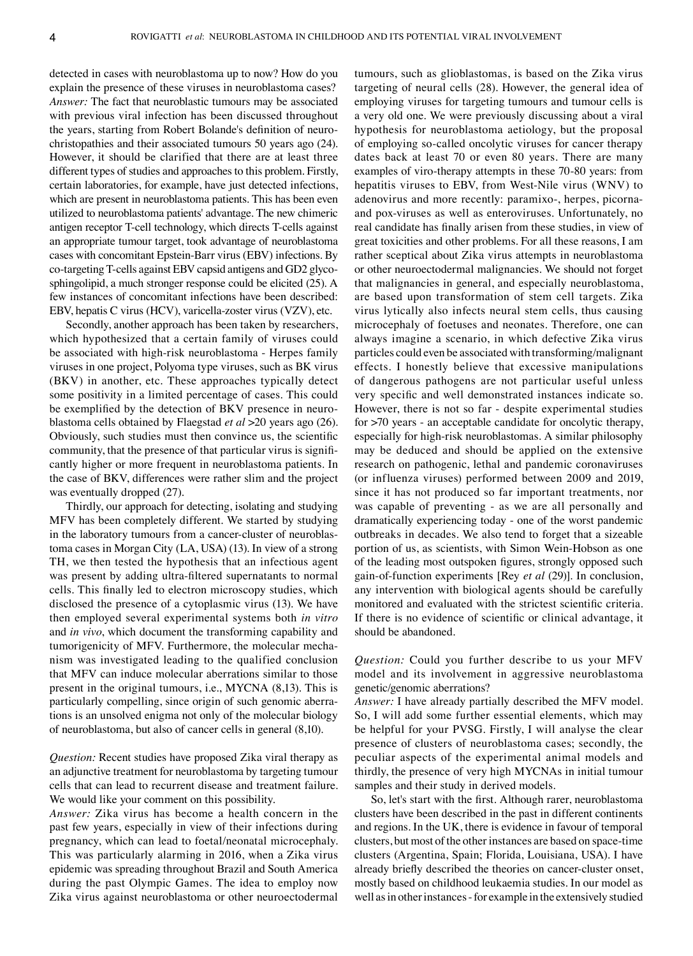detected in cases with neuroblastoma up to now? How do you explain the presence of these viruses in neuroblastoma cases? *Answer:* The fact that neuroblastic tumours may be associated with previous viral infection has been discussed throughout the years, starting from Robert Bolande's definition of neurochristopathies and their associated tumours 50 years ago (24). However, it should be clarified that there are at least three different types of studies and approaches to this problem. Firstly, certain laboratories, for example, have just detected infections, which are present in neuroblastoma patients. This has been even utilized to neuroblastoma patients' advantage. The new chimeric antigen receptor T‑cell technology, which directs T‑cells against an appropriate tumour target, took advantage of neuroblastoma cases with concomitant Epstein‑Barr virus (EBV) infections. By co-targeting T-cells against EBV capsid antigens and GD2 glycosphingolipid, a much stronger response could be elicited (25). A few instances of concomitant infections have been described: EBV, hepatis C virus (HCV), varicella‑zoster virus (VZV), etc.

Secondly, another approach has been taken by researchers, which hypothesized that a certain family of viruses could be associated with high-risk neuroblastoma - Herpes family viruses in one project, Polyoma type viruses, such as BK virus (BKV) in another, etc. These approaches typically detect some positivity in a limited percentage of cases. This could be exemplified by the detection of BKV presence in neuroblastoma cells obtained by Flaegstad *et al* >20 years ago (26). Obviously, such studies must then convince us, the scientific community, that the presence of that particular virus is significantly higher or more frequent in neuroblastoma patients. In the case of BKV, differences were rather slim and the project was eventually dropped (27).

Thirdly, our approach for detecting, isolating and studying MFV has been completely different. We started by studying in the laboratory tumours from a cancer-cluster of neuroblastoma cases in Morgan City (LA, USA) (13). In view of a strong TH, we then tested the hypothesis that an infectious agent was present by adding ultra-filtered supernatants to normal cells. This finally led to electron microscopy studies, which disclosed the presence of a cytoplasmic virus (13). We have then employed several experimental systems both *in vitro* and *in vivo*, which document the transforming capability and tumorigenicity of MFV. Furthermore, the molecular mechanism was investigated leading to the qualified conclusion that MFV can induce molecular aberrations similar to those present in the original tumours, i.e., MYCNA (8,13). This is particularly compelling, since origin of such genomic aberrations is an unsolved enigma not only of the molecular biology of neuroblastoma, but also of cancer cells in general (8,10).

*Question:* Recent studies have proposed Zika viral therapy as an adjunctive treatment for neuroblastoma by targeting tumour cells that can lead to recurrent disease and treatment failure. We would like your comment on this possibility.

*Answer:* Zika virus has become a health concern in the past few years, especially in view of their infections during pregnancy, which can lead to foetal/neonatal microcephaly. This was particularly alarming in 2016, when a Zika virus epidemic was spreading throughout Brazil and South America during the past Olympic Games. The idea to employ now Zika virus against neuroblastoma or other neuroectodermal tumours, such as glioblastomas, is based on the Zika virus targeting of neural cells (28). However, the general idea of employing viruses for targeting tumours and tumour cells is a very old one. We were previously discussing about a viral hypothesis for neuroblastoma aetiology, but the proposal of employing so‑called oncolytic viruses for cancer therapy dates back at least 70 or even 80 years. There are many examples of viro-therapy attempts in these 70-80 years: from hepatitis viruses to EBV, from West-Nile virus (WNV) to adenovirus and more recently: paramixo-, herpes, picornaand pox‑viruses as well as enteroviruses. Unfortunately, no real candidate has finally arisen from these studies, in view of great toxicities and other problems. For all these reasons, I am rather sceptical about Zika virus attempts in neuroblastoma or other neuroectodermal malignancies. We should not forget that malignancies in general, and especially neuroblastoma, are based upon transformation of stem cell targets. Zika virus lytically also infects neural stem cells, thus causing microcephaly of foetuses and neonates. Therefore, one can always imagine a scenario, in which defective Zika virus particles could even be associated with transforming/malignant effects. I honestly believe that excessive manipulations of dangerous pathogens are not particular useful unless very specific and well demonstrated instances indicate so. However, there is not so far ‑ despite experimental studies for  $>70$  years - an acceptable candidate for oncolytic therapy, especially for high-risk neuroblastomas. A similar philosophy may be deduced and should be applied on the extensive research on pathogenic, lethal and pandemic coronaviruses (or influenza viruses) performed between 2009 and 2019, since it has not produced so far important treatments, nor was capable of preventing - as we are all personally and dramatically experiencing today ‑ one of the worst pandemic outbreaks in decades. We also tend to forget that a sizeable portion of us, as scientists, with Simon Wein‑Hobson as one of the leading most outspoken figures, strongly opposed such gain‑of‑function experiments [Rey *et al* (29)]. In conclusion, any intervention with biological agents should be carefully monitored and evaluated with the strictest scientific criteria. If there is no evidence of scientific or clinical advantage, it should be abandoned.

*Question:* Could you further describe to us your MFV model and its involvement in aggressive neuroblastoma genetic/genomic aberrations?

*Answer:* I have already partially described the MFV model. So, I will add some further essential elements, which may be helpful for your PVSG. Firstly, I will analyse the clear presence of clusters of neuroblastoma cases; secondly, the peculiar aspects of the experimental animal models and thirdly, the presence of very high MYCNAs in initial tumour samples and their study in derived models.

So, let's start with the first. Although rarer, neuroblastoma clusters have been described in the past in different continents and regions. In the UK, there is evidence in favour of temporal clusters, but most of the other instances are based on space-time clusters (Argentina, Spain; Florida, Louisiana, USA). I have already briefly described the theories on cancer-cluster onset, mostly based on childhood leukaemia studies. In our model as well as in other instances - for example in the extensively studied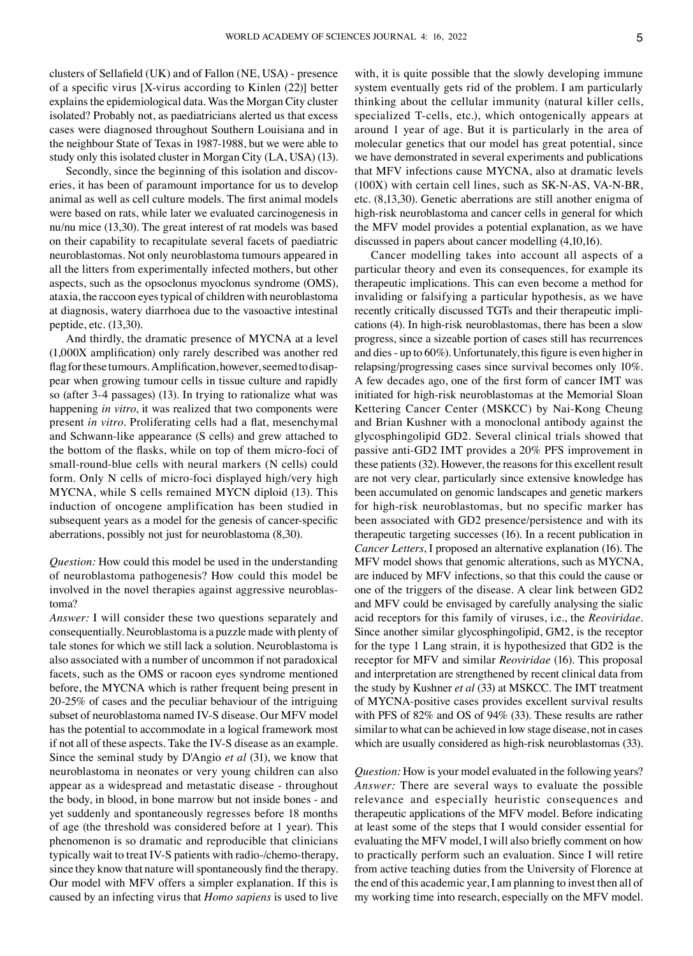clusters of Sellafield (UK) and of Fallon (NE, USA) ‑ presence of a specific virus [X‑virus according to Kinlen (22)] better explains the epidemiological data. Was the Morgan City cluster isolated? Probably not, as paediatricians alerted us that excess cases were diagnosed throughout Southern Louisiana and in the neighbour State of Texas in 1987‑1988, but we were able to study only this isolated cluster in Morgan City (LA, USA) (13).

Secondly, since the beginning of this isolation and discoveries, it has been of paramount importance for us to develop animal as well as cell culture models. The first animal models were based on rats, while later we evaluated carcinogenesis in nu/nu mice (13,30). The great interest of rat models was based on their capability to recapitulate several facets of paediatric neuroblastomas. Not only neuroblastoma tumours appeared in all the litters from experimentally infected mothers, but other aspects, such as the opsoclonus myoclonus syndrome (OMS), ataxia, the raccoon eyes typical of children with neuroblastoma at diagnosis, watery diarrhoea due to the vasoactive intestinal peptide, etc. (13,30).

And thirdly, the dramatic presence of MYCNA at a level (1,000X amplification) only rarely described was another red flag for these tumours. Amplification, however, seemed to disappear when growing tumour cells in tissue culture and rapidly so (after 3-4 passages) (13). In trying to rationalize what was happening *in vitro*, it was realized that two components were present *in vitro*. Proliferating cells had a flat, mesenchymal and Schwann‑like appearance (S cells) and grew attached to the bottom of the flasks, while on top of them micro-foci of small-round-blue cells with neural markers (N cells) could form. Only N cells of micro-foci displayed high/very high MYCNA, while S cells remained MYCN diploid (13). This induction of oncogene amplification has been studied in subsequent years as a model for the genesis of cancer-specific aberrations, possibly not just for neuroblastoma (8,30).

*Question:* How could this model be used in the understanding of neuroblastoma pathogenesis? How could this model be involved in the novel therapies against aggressive neuroblastoma?

*Answer:* I will consider these two questions separately and consequentially. Neuroblastoma is a puzzle made with plenty of tale stones for which we still lack a solution. Neuroblastoma is also associated with a number of uncommon if not paradoxical facets, such as the OMS or racoon eyes syndrome mentioned before, the MYCNA which is rather frequent being present in 20‑25% of cases and the peculiar behaviour of the intriguing subset of neuroblastoma named IV‑S disease. Our MFV model has the potential to accommodate in a logical framework most if not all of these aspects. Take the IV‑S disease as an example. Since the seminal study by D'Angio *et al* (31), we know that neuroblastoma in neonates or very young children can also appear as a widespread and metastatic disease ‑ throughout the body, in blood, in bone marrow but not inside bones ‑ and yet suddenly and spontaneously regresses before 18 months of age (the threshold was considered before at 1 year). This phenomenon is so dramatic and reproducible that clinicians typically wait to treat IV‑S patients with radio‑/chemo‑therapy, since they know that nature will spontaneously find the therapy. Our model with MFV offers a simpler explanation. If this is caused by an infecting virus that *Homo sapiens* is used to live with, it is quite possible that the slowly developing immune system eventually gets rid of the problem. I am particularly thinking about the cellular immunity (natural killer cells, specialized T-cells, etc.), which ontogenically appears at around 1 year of age. But it is particularly in the area of molecular genetics that our model has great potential, since we have demonstrated in several experiments and publications that MFV infections cause MYCNA, also at dramatic levels (100X) with certain cell lines, such as SK‑N‑AS, VA‑N‑BR, etc. (8,13,30). Genetic aberrations are still another enigma of high-risk neuroblastoma and cancer cells in general for which the MFV model provides a potential explanation, as we have discussed in papers about cancer modelling (4,10,16).

Cancer modelling takes into account all aspects of a particular theory and even its consequences, for example its therapeutic implications. This can even become a method for invaliding or falsifying a particular hypothesis, as we have recently critically discussed TGTs and their therapeutic implications (4). In high-risk neuroblastomas, there has been a slow progress, since a sizeable portion of cases still has recurrences and dies ‑ up to 60%). Unfortunately, this figure is even higher in relapsing/progressing cases since survival becomes only 10%. A few decades ago, one of the first form of cancer IMT was initiated for high-risk neuroblastomas at the Memorial Sloan Kettering Cancer Center (MSKCC) by Nai-Kong Cheung and Brian Kushner with a monoclonal antibody against the glycosphingolipid GD2. Several clinical trials showed that passive anti‑GD2 IMT provides a 20% PFS improvement in these patients (32). However, the reasons for this excellent result are not very clear, particularly since extensive knowledge has been accumulated on genomic landscapes and genetic markers for high-risk neuroblastomas, but no specific marker has been associated with GD2 presence/persistence and with its therapeutic targeting successes (16). In a recent publication in *Cancer Letters*, I proposed an alternative explanation (16). The MFV model shows that genomic alterations, such as MYCNA, are induced by MFV infections, so that this could the cause or one of the triggers of the disease. A clear link between GD2 and MFV could be envisaged by carefully analysing the sialic acid receptors for this family of viruses, i.e., the *Reoviridae*. Since another similar glycosphingolipid, GM2, is the receptor for the type 1 Lang strain, it is hypothesized that GD2 is the receptor for MFV and similar *Reoviridae* (16). This proposal and interpretation are strengthened by recent clinical data from the study by Kushner *et al* (33) at MSKCC. The IMT treatment of MYCNA‑positive cases provides excellent survival results with PFS of 82% and OS of 94% (33). These results are rather similar to what can be achieved in low stage disease, not in cases which are usually considered as high-risk neuroblastomas (33).

*Question:* How is your model evaluated in the following years? *Answer:* There are several ways to evaluate the possible relevance and especially heuristic consequences and therapeutic applications of the MFV model. Before indicating at least some of the steps that I would consider essential for evaluating the MFV model, I will also briefly comment on how to practically perform such an evaluation. Since I will retire from active teaching duties from the University of Florence at the end of this academic year, I am planning to invest then all of my working time into research, especially on the MFV model.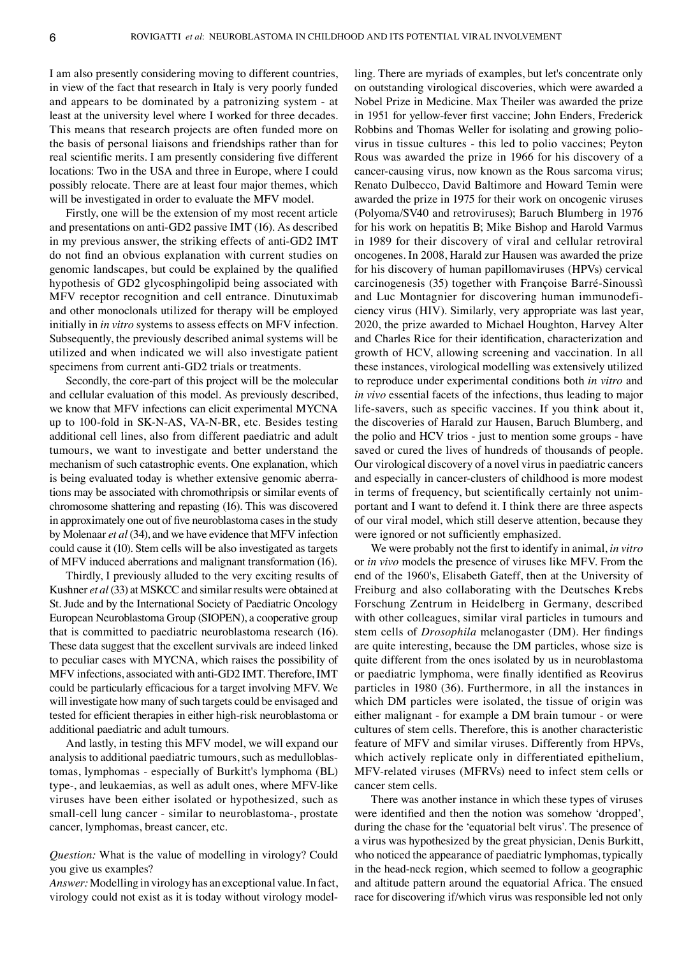I am also presently considering moving to different countries, in view of the fact that research in Italy is very poorly funded and appears to be dominated by a patronizing system ‑ at least at the university level where I worked for three decades. This means that research projects are often funded more on the basis of personal liaisons and friendships rather than for real scientific merits. I am presently considering five different locations: Two in the USA and three in Europe, where I could possibly relocate. There are at least four major themes, which will be investigated in order to evaluate the MFV model.

Firstly, one will be the extension of my most recent article and presentations on anti‑GD2 passive IMT (16). As described in my previous answer, the striking effects of anti‑GD2 IMT do not find an obvious explanation with current studies on genomic landscapes, but could be explained by the qualified hypothesis of GD2 glycosphingolipid being associated with MFV receptor recognition and cell entrance. Dinutuximab and other monoclonals utilized for therapy will be employed initially in *in vitro* systems to assess effects on MFV infection. Subsequently, the previously described animal systems will be utilized and when indicated we will also investigate patient specimens from current anti-GD2 trials or treatments.

Secondly, the core-part of this project will be the molecular and cellular evaluation of this model. As previously described, we know that MFV infections can elicit experimental MYCNA up to 100‑fold in SK‑N‑AS, VA‑N‑BR, etc. Besides testing additional cell lines, also from different paediatric and adult tumours, we want to investigate and better understand the mechanism of such catastrophic events. One explanation, which is being evaluated today is whether extensive genomic aberrations may be associated with chromothripsis or similar events of chromosome shattering and repasting (16). This was discovered in approximately one out of five neuroblastoma cases in the study by Molenaar *et al* (34), and we have evidence that MFV infection could cause it (10). Stem cells will be also investigated as targets of MFV induced aberrations and malignant transformation (16).

Thirdly, I previously alluded to the very exciting results of Kushner *et al*(33) at MSKCC and similar results were obtained at St. Jude and by the International Society of Paediatric Oncology European Neuroblastoma Group (SIOPEN), a cooperative group that is committed to paediatric neuroblastoma research (16). These data suggest that the excellent survivals are indeed linked to peculiar cases with MYCNA, which raises the possibility of MFV infections, associated with anti‑GD2 IMT. Therefore, IMT could be particularly efficacious for a target involving MFV. We will investigate how many of such targets could be envisaged and tested for efficient therapies in either high‑risk neuroblastoma or additional paediatric and adult tumours.

And lastly, in testing this MFV model, we will expand our analysis to additional paediatric tumours, such as medulloblastomas, lymphomas ‑ especially of Burkitt's lymphoma (BL) type‑, and leukaemias, as well as adult ones, where MFV‑like viruses have been either isolated or hypothesized, such as small-cell lung cancer - similar to neuroblastoma-, prostate cancer, lymphomas, breast cancer, etc.

*Question:* What is the value of modelling in virology? Could you give us examples?

*Answer:* Modelling in virology has an exceptional value. In fact, virology could not exist as it is today without virology model‑

ling. There are myriads of examples, but let's concentrate only on outstanding virological discoveries, which were awarded a Nobel Prize in Medicine. Max Theiler was awarded the prize in 1951 for yellow-fever first vaccine; John Enders, Frederick Robbins and Thomas Weller for isolating and growing poliovirus in tissue cultures ‑ this led to polio vaccines; Peyton Rous was awarded the prize in 1966 for his discovery of a cancer‑causing virus, now known as the Rous sarcoma virus; Renato Dulbecco, David Baltimore and Howard Temin were awarded the prize in 1975 for their work on oncogenic viruses (Polyoma/SV40 and retroviruses); Baruch Blumberg in 1976 for his work on hepatitis B; Mike Bishop and Harold Varmus in 1989 for their discovery of viral and cellular retroviral oncogenes. In 2008, Harald zur Hausen was awarded the prize for his discovery of human papillomaviruses (HPVs) cervical carcinogenesis (35) together with Françoise Barré‑Sinoussì and Luc Montagnier for discovering human immunodeficiency virus (HIV). Similarly, very appropriate was last year, 2020, the prize awarded to Michael Houghton, Harvey Alter and Charles Rice for their identification, characterization and growth of HCV, allowing screening and vaccination. In all these instances, virological modelling was extensively utilized to reproduce under experimental conditions both *in vitro* and *in vivo* essential facets of the infections, thus leading to major life‑savers, such as specific vaccines. If you think about it, the discoveries of Harald zur Hausen, Baruch Blumberg, and the polio and HCV trios ‑ just to mention some groups ‑ have saved or cured the lives of hundreds of thousands of people. Our virological discovery of a novel virus in paediatric cancers and especially in cancer-clusters of childhood is more modest in terms of frequency, but scientifically certainly not unimportant and I want to defend it. I think there are three aspects of our viral model, which still deserve attention, because they were ignored or not sufficiently emphasized.

We were probably not the first to identify in animal, *in vitro* or *in vivo* models the presence of viruses like MFV. From the end of the 1960's, Elisabeth Gateff, then at the University of Freiburg and also collaborating with the Deutsches Krebs Forschung Zentrum in Heidelberg in Germany, described with other colleagues, similar viral particles in tumours and stem cells of *Drosophila* melanogaster (DM). Her findings are quite interesting, because the DM particles, whose size is quite different from the ones isolated by us in neuroblastoma or paediatric lymphoma, were finally identified as Reovirus particles in 1980 (36). Furthermore, in all the instances in which DM particles were isolated, the tissue of origin was either malignant - for example a DM brain tumour - or were cultures of stem cells. Therefore, this is another characteristic feature of MFV and similar viruses. Differently from HPVs, which actively replicate only in differentiated epithelium, MFV‑related viruses (MFRVs) need to infect stem cells or cancer stem cells.

There was another instance in which these types of viruses were identified and then the notion was somehow 'dropped', during the chase for the 'equatorial belt virus'. The presence of a virus was hypothesized by the great physician, Denis Burkitt, who noticed the appearance of paediatric lymphomas, typically in the head-neck region, which seemed to follow a geographic and altitude pattern around the equatorial Africa. The ensued race for discovering if/which virus was responsible led not only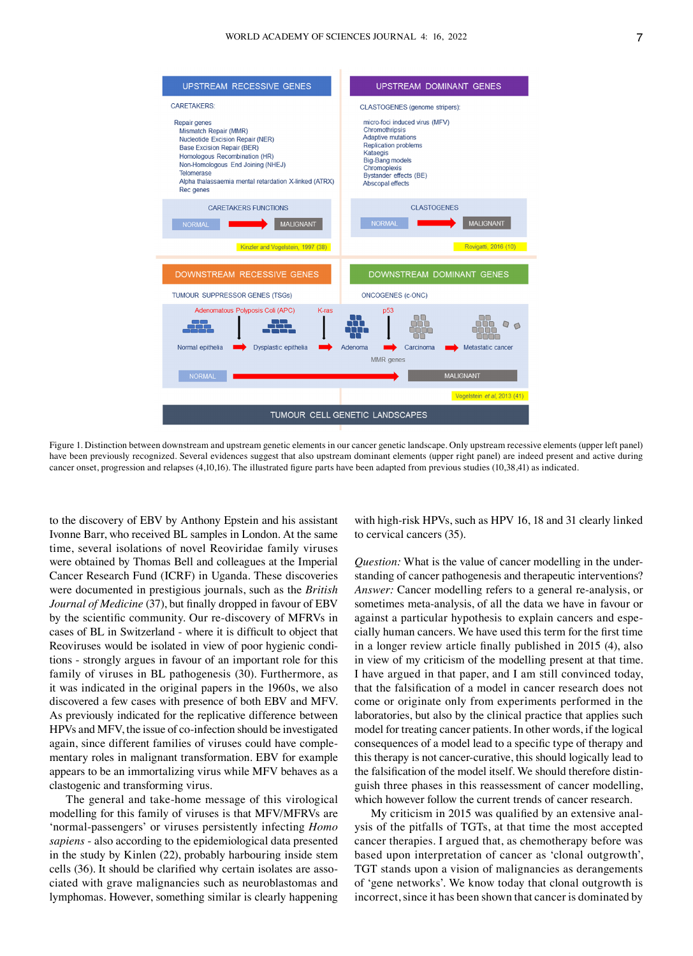

Figure 1. Distinction between downstream and upstream genetic elements in our cancer genetic landscape. Only upstream recessive elements (upper left panel) have been previously recognized. Several evidences suggest that also upstream dominant elements (upper right panel) are indeed present and active during cancer onset, progression and relapses (4,10,16). The illustrated figure parts have been adapted from previous studies (10,38,41) as indicated.

to the discovery of EBV by Anthony Epstein and his assistant Ivonne Barr, who received BL samples in London. At the same time, several isolations of novel Reoviridae family viruses were obtained by Thomas Bell and colleagues at the Imperial Cancer Research Fund (ICRF) in Uganda. These discoveries were documented in prestigious journals, such as the *British Journal of Medicine* (37), but finally dropped in favour of EBV by the scientific community. Our re‑discovery of MFRVs in cases of BL in Switzerland ‑ where it is difficult to object that Reoviruses would be isolated in view of poor hygienic conditions ‑ strongly argues in favour of an important role for this family of viruses in BL pathogenesis (30). Furthermore, as it was indicated in the original papers in the 1960s, we also discovered a few cases with presence of both EBV and MFV. As previously indicated for the replicative difference between HPVs and MFV, the issue of co‑infection should be investigated again, since different families of viruses could have complementary roles in malignant transformation. EBV for example appears to be an immortalizing virus while MFV behaves as a clastogenic and transforming virus.

The general and take-home message of this virological modelling for this family of viruses is that MFV/MFRVs are 'normal‑passengers' or viruses persistently infecting *Homo sapiens* ‑ also according to the epidemiological data presented in the study by Kinlen (22), probably harbouring inside stem cells (36). It should be clarified why certain isolates are associated with grave malignancies such as neuroblastomas and lymphomas. However, something similar is clearly happening

with high-risk HPVs, such as HPV 16, 18 and 31 clearly linked to cervical cancers (35).

*Question:* What is the value of cancer modelling in the understanding of cancer pathogenesis and therapeutic interventions? *Answer:* Cancer modelling refers to a general re-analysis, or sometimes meta‑analysis, of all the data we have in favour or against a particular hypothesis to explain cancers and especially human cancers. We have used this term for the first time in a longer review article finally published in 2015 (4), also in view of my criticism of the modelling present at that time. I have argued in that paper, and I am still convinced today, that the falsification of a model in cancer research does not come or originate only from experiments performed in the laboratories, but also by the clinical practice that applies such model for treating cancer patients. In other words, if the logical consequences of a model lead to a specific type of therapy and this therapy is not cancer‑curative, this should logically lead to the falsification of the model itself. We should therefore distinguish three phases in this reassessment of cancer modelling, which however follow the current trends of cancer research.

My criticism in 2015 was qualified by an extensive analysis of the pitfalls of TGTs, at that time the most accepted cancer therapies. I argued that, as chemotherapy before was based upon interpretation of cancer as 'clonal outgrowth', TGT stands upon a vision of malignancies as derangements of 'gene networks'. We know today that clonal outgrowth is incorrect, since it has been shown that cancer is dominated by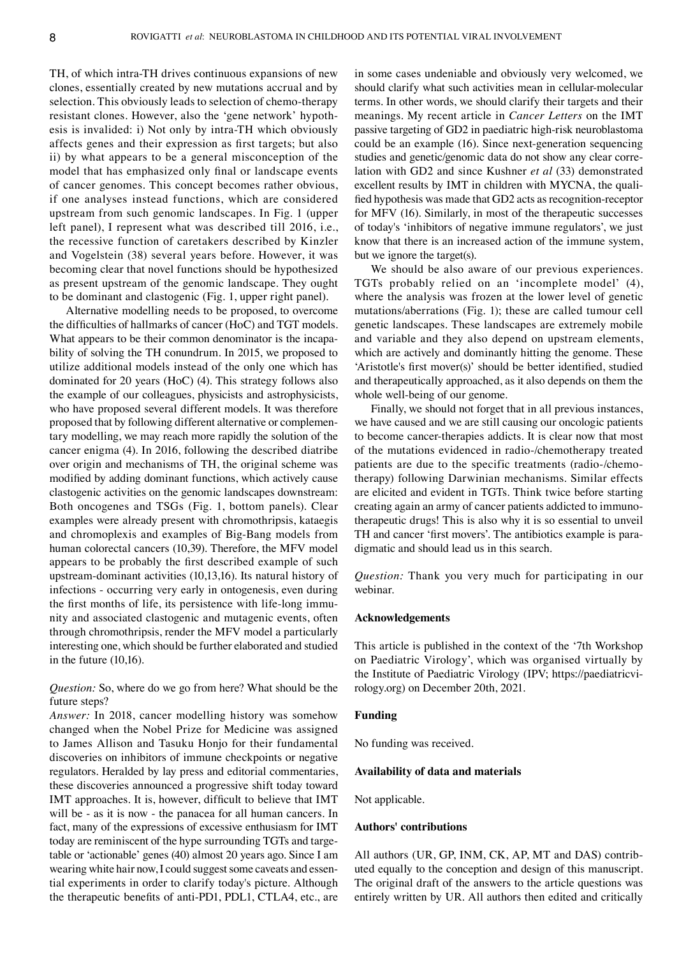TH, of which intra‑TH drives continuous expansions of new clones, essentially created by new mutations accrual and by selection. This obviously leads to selection of chemo-therapy resistant clones. However, also the 'gene network' hypothesis is invalided: i) Not only by intra‑TH which obviously affects genes and their expression as first targets; but also ii) by what appears to be a general misconception of the model that has emphasized only final or landscape events of cancer genomes. This concept becomes rather obvious, if one analyses instead functions, which are considered upstream from such genomic landscapes. In Fig. 1 (upper left panel), I represent what was described till 2016, i.e., the recessive function of caretakers described by Kinzler and Vogelstein (38) several years before. However, it was becoming clear that novel functions should be hypothesized as present upstream of the genomic landscape. They ought to be dominant and clastogenic (Fig. 1, upper right panel).

Alternative modelling needs to be proposed, to overcome the difficulties of hallmarks of cancer (HoC) and TGT models. What appears to be their common denominator is the incapability of solving the TH conundrum. In 2015, we proposed to utilize additional models instead of the only one which has dominated for 20 years (HoC) (4). This strategy follows also the example of our colleagues, physicists and astrophysicists, who have proposed several different models. It was therefore proposed that by following different alternative or complementary modelling, we may reach more rapidly the solution of the cancer enigma (4). In 2016, following the described diatribe over origin and mechanisms of TH, the original scheme was modified by adding dominant functions, which actively cause clastogenic activities on the genomic landscapes downstream: Both oncogenes and TSGs (Fig. 1, bottom panels). Clear examples were already present with chromothripsis, kataegis and chromoplexis and examples of Big‑Bang models from human colorectal cancers (10,39). Therefore, the MFV model appears to be probably the first described example of such upstream‑dominant activities (10,13,16). Its natural history of infections ‑ occurring very early in ontogenesis, even during the first months of life, its persistence with life-long immunity and associated clastogenic and mutagenic events, often through chromothripsis, render the MFV model a particularly interesting one, which should be further elaborated and studied in the future (10,16).

# *Question:* So, where do we go from here? What should be the future steps?

*Answer:* In 2018, cancer modelling history was somehow changed when the Nobel Prize for Medicine was assigned to James Allison and Tasuku Honjo for their fundamental discoveries on inhibitors of immune checkpoints or negative regulators. Heralded by lay press and editorial commentaries, these discoveries announced a progressive shift today toward IMT approaches. It is, however, difficult to believe that IMT will be - as it is now - the panacea for all human cancers. In fact, many of the expressions of excessive enthusiasm for IMT today are reminiscent of the hype surrounding TGTs and targetable or 'actionable' genes (40) almost 20 years ago. Since I am wearing white hair now, I could suggest some caveats and essential experiments in order to clarify today's picture. Although the therapeutic benefits of anti‑PD1, PDL1, CTLA4, etc., are in some cases undeniable and obviously very welcomed, we should clarify what such activities mean in cellular-molecular terms. In other words, we should clarify their targets and their meanings. My recent article in *Cancer Letters* on the IMT passive targeting of GD2 in paediatric high-risk neuroblastoma could be an example (16). Since next-generation sequencing studies and genetic/genomic data do not show any clear correlation with GD2 and since Kushner *et al* (33) demonstrated excellent results by IMT in children with MYCNA, the qualified hypothesis was made that GD2 acts as recognition-receptor for MFV (16). Similarly, in most of the therapeutic successes of today's 'inhibitors of negative immune regulators', we just know that there is an increased action of the immune system, but we ignore the target(s).

We should be also aware of our previous experiences. TGTs probably relied on an 'incomplete model' (4), where the analysis was frozen at the lower level of genetic mutations/aberrations (Fig. 1); these are called tumour cell genetic landscapes. These landscapes are extremely mobile and variable and they also depend on upstream elements, which are actively and dominantly hitting the genome. These 'Aristotle's first mover(s)' should be better identified, studied and therapeutically approached, as it also depends on them the whole well-being of our genome.

Finally, we should not forget that in all previous instances, we have caused and we are still causing our oncologic patients to become cancer-therapies addicts. It is clear now that most of the mutations evidenced in radio‑/chemotherapy treated patients are due to the specific treatments (radio-/chemotherapy) following Darwinian mechanisms. Similar effects are elicited and evident in TGTs. Think twice before starting creating again an army of cancer patients addicted to immunotherapeutic drugs! This is also why it is so essential to unveil TH and cancer 'first movers'. The antibiotics example is paradigmatic and should lead us in this search.

*Question:* Thank you very much for participating in our webinar.

#### **Acknowledgements**

This article is published in the context of the '7th Workshop on Paediatric Virology', which was organised virtually by the Institute of Paediatric Virology (IPV; https://paediatricvirology.org) on December 20th, 2021.

#### **Funding**

No funding was received.

#### **Availability of data and materials**

Not applicable.

#### **Authors' contributions**

All authors (UR, GP, INM, CK, AP, MT and DAS) contributed equally to the conception and design of this manuscript. The original draft of the answers to the article questions was entirely written by UR. All authors then edited and critically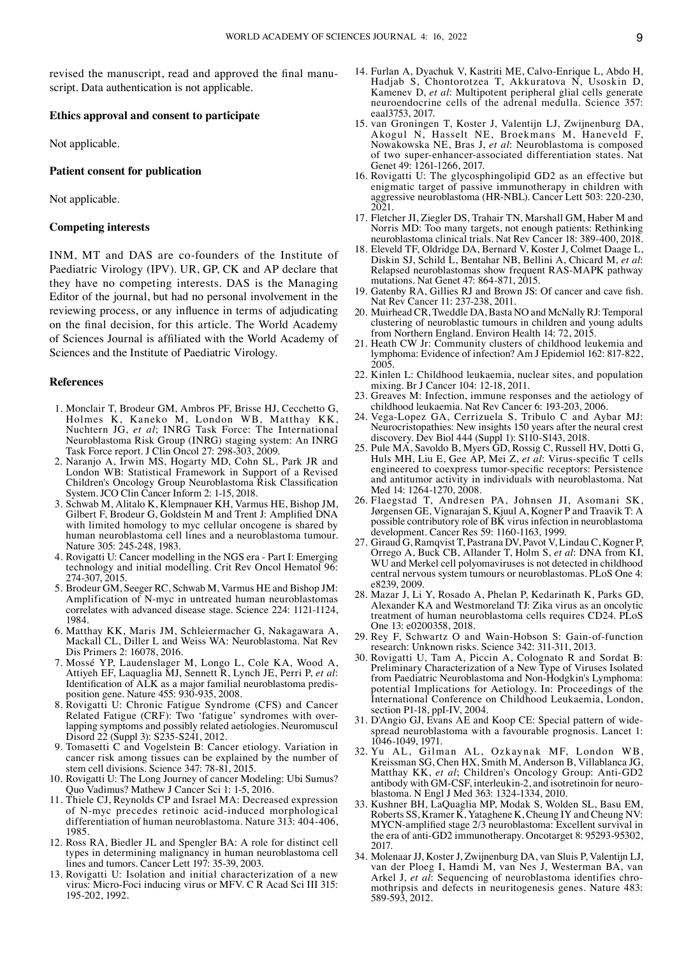revised the manuscript, read and approved the final manuscript. Data authentication is not applicable.

## **Ethics approval and consent to participate**

Not applicable.

#### **Patient consent for publication**

Not applicable.

#### **Competing interests**

INM, MT and DAS are co-founders of the Institute of Paediatric Virology (IPV). UR, GP, CK and AP declare that they have no competing interests. DAS is the Managing Editor of the journal, but had no personal involvement in the reviewing process, or any influence in terms of adjudicating on the final decision, for this article. The World Academy of Sciences Journal is affiliated with the World Academy of Sciences and the Institute of Paediatric Virology.

#### **References**

- 1. Monclair T, Brodeur GM, Ambros PF, Brisse HJ, Cecchetto G, Holmes K, Kaneko M, London WB, Matthay KK, Nuchtern JG, *et al*; INRG Task Force: The International Neuroblastoma Risk Group (INRG) staging system: An INRG Task Force report. J Clin Oncol 27: 298‑303, 2009.
- 2. Naranjo A, Irwin MS, Hogarty MD, Cohn SL, Park JR and London WB: Statistical Framework in Support of a Revised Children's Oncology Group Neuroblastoma Risk Classification System. JCO Clin Cancer Inform 2: 1‑15, 2018.
- 3. Schwab M, Alitalo K, Klempnauer KH, Varmus HE, Bishop JM, Gilbert F, Brodeur G, Goldstein M and Trent J: Amplified DNA with limited homology to myc cellular oncogene is shared by human neuroblastoma cell lines and a neuroblastoma tumour. Nature 305: 245‑248, 1983.
- 4. Rovigatti U: Cancer modelling in the NGS era ‑ Part I: Emerging technology and initial modelling. Crit Rev Oncol Hematol 96: 274‑307, 2015.
- 5. Brodeur GM, Seeger RC, Schwab M, Varmus HE and Bishop JM: Amplification of N‑myc in untreated human neuroblastomas correlates with advanced disease stage. Science 224: 1121‑1124, 1984.
- 6. Matthay KK, Maris JM, Schleiermacher G, Nakagawara A, Mackall CL, Diller L and Weiss WA: Neuroblastoma. Nat Rev Dis Primers 2: 16078, 2016.
- 7. Mossé YP, Laudenslager M, Longo L, Cole KA, Wood A, Attiyeh EF, Laquaglia MJ, Sennett R, Lynch JE, Perri P, *et al*: Identification of ALK as a major familial neuroblastoma predisposition gene. Nature 455: 930‑935, 2008.
- 8. Rovigatti U: Chronic Fatigue Syndrome (CFS) and Cancer Related Fatigue (CRF): Two 'fatigue' syndromes with overlapping symptoms and possibly related aetiologies. Neuromuscul Disord 22 (Suppl 3): S235-S241, 2012.
- 9. Tomasetti C and Vogelstein B: Cancer etiology. Variation in cancer risk among tissues can be explained by the number of stem cell divisions. Science 347: 78‑81, 2015.
- 10. Rovigatti U: The Long Journey of cancer Modeling: Ubi Sumus? Quo Vadimus? Mathew J Cancer Sci 1: 1‑5, 2016.
- 11. Thiele CJ, Reynolds CP and Israel MA: Decreased expression of N‑myc precedes retinoic acid‑induced morphological differentiation of human neuroblastoma. Nature 313: 404‑406, 1985.
- 12. Ross RA, Biedler JL and Spengler BA: A role for distinct cell types in determining malignancy in human neuroblastoma cell lines and tumors. Cancer Lett 197: 35‑39, 2003.
- 13. Rovigatti U: Isolation and initial characterization of a new virus: Micro‑Foci inducing virus or MFV. C R Acad Sci III 315: 195‑202, 1992.
- 14. Furlan A, Dyachuk V, Kastriti ME, Calvo‑Enrique L, Abdo H, Hadjab S, Chontorotzea T, Akkuratova N, Usoskin D, Kamenev D, *et al*: Multipotent peripheral glial cells generate neuroendocrine cells of the adrenal medulla. Science 357: eaal3753, 2017.
- 15. van Groningen T, Koster J, Valentijn LJ, Zwijnenburg DA, Akogul N, Hasselt NE, Broekmans M, Haneveld F, Nowakowska NE, Bras J, *et al*: Neuroblastoma is composed of two super‑enhancer‑associated differentiation states. Nat Genet 49: 1261-1266, 2017.
- 16. Rovigatti U: The glycosphingolipid GD2 as an effective but enigmatic target of passive immunotherapy in children with aggressive neuroblastoma (HR‑NBL). Cancer Lett 503: 220‑230, 2021.
- 17. Fletcher JI, Ziegler DS, Trahair TN, Marshall GM, Haber M and Norris MD: Too many targets, not enough patients: Rethinking neuroblastoma clinical trials. Nat Rev Cancer 18: 389‑400, 2018.
- 18. Eleveld TF, Oldridge DA, Bernard V, Koster J, Colmet Daage L, Diskin SJ, Schild L, Bentahar NB, Bellini A, Chicard M, *et al*: Relapsed neuroblastomas show frequent RAS‑MAPK pathway mutations. Nat Genet 47: 864‑871, 2015.
- 19. Gatenby RA, Gillies RJ and Brown JS: Of cancer and cave fish. Nat Rev Cancer 11: 237‑238, 2011.
- 20. Muirhead CR, Tweddle DA, Basta NO and McNally RJ: Temporal clustering of neuroblastic tumours in children and young adults from Northern England. Environ Health 14: 72, 2015.
- 21. Heath CW Jr: Community clusters of childhood leukemia and lymphoma: Evidence of infection? Am J Epidemiol 162: 817‑822, 2005.
- 22. Kinlen L: Childhood leukaemia, nuclear sites, and population mixing. Br J Cancer 104: 12‑18, 2011.
- 23. Greaves M: Infection, immune responses and the aetiology of childhood leukaemia. Nat Rev Cancer 6: 193‑203, 2006.
- 24. Vega-Lopez GA, Cerrizuela S, Tribulo C and Aybar MJ: Neurocristopathies: New insights 150 years after the neural crest discovery. Dev Biol 444 (Suppl 1): S110‑S143, 2018.
- 25. Pule MA, Savoldo B, Myers GD, Rossig C, Russell HV, Dotti G, Huls MH, Liu E, Gee AP, Mei Z, *et al*: Virus‑specific T cells engineered to coexpress tumor-specific receptors: Persistence and antitumor activity in individuals with neuroblastoma. Nat Med 14: 1264-1270, 2008.
- 26. Flaegstad T, Andresen PA, Johnsen JI, Asomani SK, Jørgensen GE, Vignarajan S, Kjuul A, Kogner P and Traavik T: A possible contributory role of BK virus infection in neuroblastoma development. Cancer Res 59: 1160‑1163, 1999.
- 27. Giraud G, Ramqvist T, Pastrana DV, Pavot V, Lindau C, Kogner P, Orrego A, Buck CB, Allander T, Holm S, *et al*: DNA from KI, WU and Merkel cell polyomaviruses is not detected in childhood central nervous system tumours or neuroblastomas. PLoS One 4: e8239, 2009.
- 28. Mazar J, Li Y, Rosado A, Phelan P, Kedarinath K, Parks GD, Alexander KA and Westmoreland TJ: Zika virus as an oncolytic treatment of human neuroblastoma cells requires CD24. PLoS One 13: e0200358, 2018.
- 29. Rey F, Schwartz O and Wain‑Hobson S: Gain‑of‑function research: Unknown risks. Science 342: 311‑311, 2013.
- 30. Rovigatti U, Tam A, Piccin A, Colognato R and Sordat B: Preliminary Characterization of a New Type of Viruses Isolated from Paediatric Neuroblastoma and Non‑Hodgkin's Lymphoma: potential Implications for Aetiology. In: Proceedings of the International Conference on Childhood Leukaemia, London, section P1-18, ppI-IV, 2004.
- 31. D'Angio GJ, Evans AE and Koop CE: Special pattern of widespread neuroblastoma with a favourable prognosis. Lancet 1: 1046‑1049, 1971.
- 32. Yu AL, Gilman AL, Ozkaynak MF, London WB, Kreissman SG, Chen HX, Smith M, Anderson B, Villablanca JG, Matthay KK, *et al*; Children's Oncology Group: Anti‑GD2 antibody with GM-CSF, interleukin-2, and isotretinoin for neuroblastoma. N Engl J Med 363: 1324‑1334, 2010.
- 33. Kushner BH, LaQuaglia MP, Modak S, Wolden SL, Basu EM, Roberts SS, Kramer K, Yataghene K, Cheung IY and Cheung NV: MYCN‑amplified stage 2/3 neuroblastoma: Excellent survival in the era of anti‑GD2 immunotherapy. Oncotarget 8: 95293‑95302, 2017.
- 34. Molenaar JJ, Koster J, Zwijnenburg DA, van Sluis P, Valentijn LJ, van der Ploeg I, Hamdi M, van Nes J, Westerman BA, van Arkel J, et al: Sequencing of neuroblastoma identifies chromothripsis and defects in neuritogenesis genes. Nature 483: 589‑593, 2012.